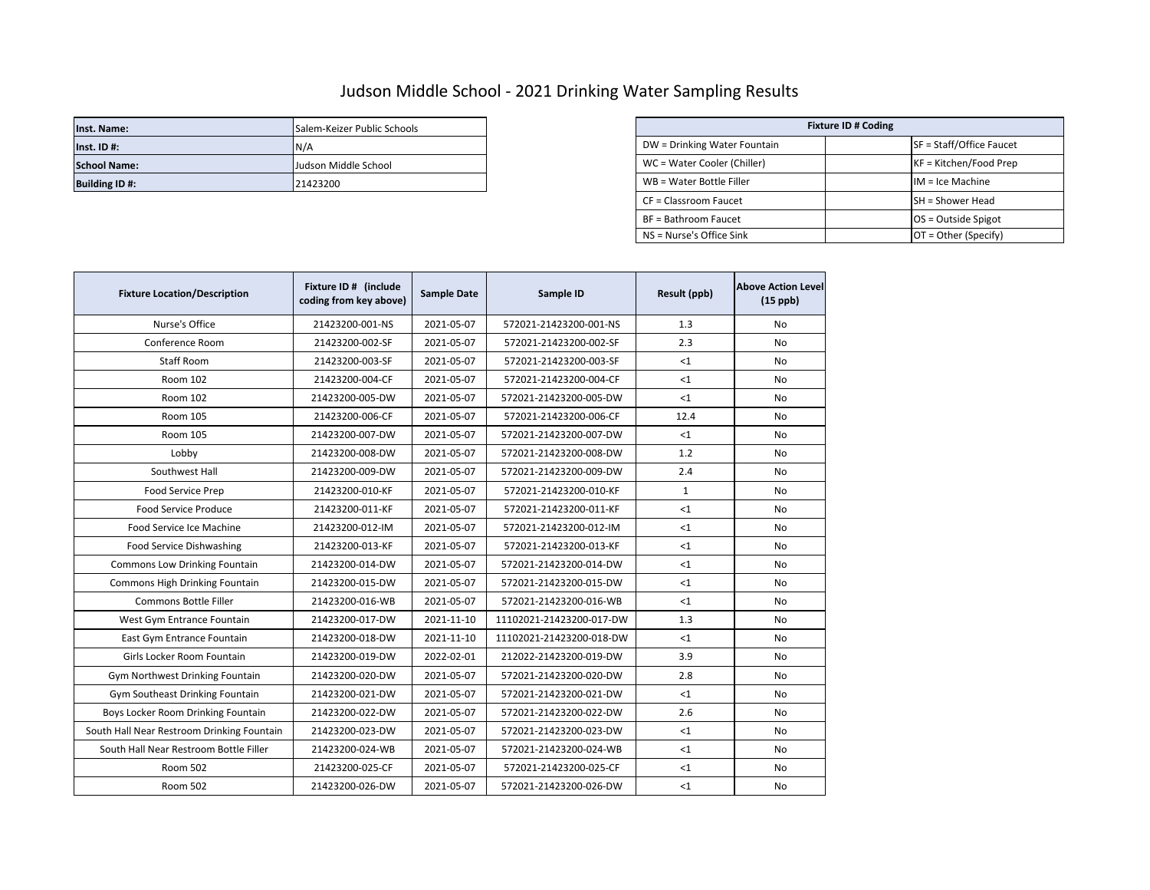## Judson Middle School - 2021 Drinking Water Sampling Results

| Inst. Name:           | Salem-Keizer Public Schools | <b>Fixture ID # Coding</b>   |  |                          |
|-----------------------|-----------------------------|------------------------------|--|--------------------------|
| $Inst.$ ID #:         | IN/A                        | DW = Drinking Water Fountain |  | SF = Staff/Office Faucet |
| <b>School Name:</b>   | Judson Middle School        | WC = Water Cooler (Chiller)  |  | KF = Kitchen/Food Prep   |
| <b>Building ID #:</b> | 21423200                    | WB = Water Bottle Filler     |  | $IM = Ice Machine$       |

| Salem-Keizer Public Schools | <b>Fixture ID # Coding</b>   |                          |  |
|-----------------------------|------------------------------|--------------------------|--|
| N/A                         | DW = Drinking Water Fountain | SF = Staff/Office Faucet |  |
| Judson Middle School        | WC = Water Cooler (Chiller)  | $KF = Kitchen/Food Prep$ |  |
| 21423200                    | WB = Water Bottle Filler     | $IM = Ice Machine$       |  |
|                             | CF = Classroom Faucet        | <b>SH</b> = Shower Head  |  |
|                             | BF = Bathroom Faucet         | $OS = Outside Spigot$    |  |
|                             | NS = Nurse's Office Sink     | $OT = Other (Specify)$   |  |

| <b>Fixture Location/Description</b>        | Fixture ID # (include<br>coding from key above) | <b>Sample Date</b> | Sample ID                | Result (ppb) | <b>Above Action Level</b><br>$(15$ ppb) |
|--------------------------------------------|-------------------------------------------------|--------------------|--------------------------|--------------|-----------------------------------------|
| Nurse's Office                             | 21423200-001-NS                                 | 2021-05-07         | 572021-21423200-001-NS   | 1.3          | <b>No</b>                               |
| Conference Room                            | 21423200-002-SF                                 | 2021-05-07         | 572021-21423200-002-SF   | 2.3          | No                                      |
| Staff Room                                 | 21423200-003-SF                                 | 2021-05-07         | 572021-21423200-003-SF   | $\leq 1$     | No                                      |
| Room 102                                   | 21423200-004-CF                                 | 2021-05-07         | 572021-21423200-004-CF   | $<$ 1        | No                                      |
| Room 102                                   | 21423200-005-DW                                 | 2021-05-07         | 572021-21423200-005-DW   | $\leq 1$     | No                                      |
| Room 105                                   | 21423200-006-CF                                 | 2021-05-07         | 572021-21423200-006-CF   | 12.4         | No                                      |
| <b>Room 105</b>                            | 21423200-007-DW                                 | 2021-05-07         | 572021-21423200-007-DW   | $<$ 1        | No                                      |
| Lobby                                      | 21423200-008-DW                                 | 2021-05-07         | 572021-21423200-008-DW   | 1.2          | No                                      |
| Southwest Hall                             | 21423200-009-DW                                 | 2021-05-07         | 572021-21423200-009-DW   | 2.4          | No                                      |
| Food Service Prep                          | 21423200-010-KF                                 | 2021-05-07         | 572021-21423200-010-KF   | $\mathbf{1}$ | No                                      |
| <b>Food Service Produce</b>                | 21423200-011-KF                                 | 2021-05-07         | 572021-21423200-011-KF   | <1           | No                                      |
| Food Service Ice Machine                   | 21423200-012-IM                                 | 2021-05-07         | 572021-21423200-012-IM   | <1           | No                                      |
| Food Service Dishwashing                   | 21423200-013-KF                                 | 2021-05-07         | 572021-21423200-013-KF   | $\leq 1$     | No                                      |
| Commons Low Drinking Fountain              | 21423200-014-DW                                 | 2021-05-07         | 572021-21423200-014-DW   | $\leq 1$     | <b>No</b>                               |
| Commons High Drinking Fountain             | 21423200-015-DW                                 | 2021-05-07         | 572021-21423200-015-DW   | $\leq 1$     | No                                      |
| Commons Bottle Filler                      | 21423200-016-WB                                 | 2021-05-07         | 572021-21423200-016-WB   | $<$ 1        | No                                      |
| West Gym Entrance Fountain                 | 21423200-017-DW                                 | 2021-11-10         | 11102021-21423200-017-DW | 1.3          | No                                      |
| East Gym Entrance Fountain                 | 21423200-018-DW                                 | 2021-11-10         | 11102021-21423200-018-DW | $\leq 1$     | No                                      |
| Girls Locker Room Fountain                 | 21423200-019-DW                                 | 2022-02-01         | 212022-21423200-019-DW   | 3.9          | No                                      |
| Gym Northwest Drinking Fountain            | 21423200-020-DW                                 | 2021-05-07         | 572021-21423200-020-DW   | 2.8          | No                                      |
| Gym Southeast Drinking Fountain            | 21423200-021-DW                                 | 2021-05-07         | 572021-21423200-021-DW   | $\leq 1$     | No                                      |
| Boys Locker Room Drinking Fountain         | 21423200-022-DW                                 | 2021-05-07         | 572021-21423200-022-DW   | 2.6          | No                                      |
| South Hall Near Restroom Drinking Fountain | 21423200-023-DW                                 | 2021-05-07         | 572021-21423200-023-DW   | $<$ 1        | No                                      |
| South Hall Near Restroom Bottle Filler     | 21423200-024-WB                                 | 2021-05-07         | 572021-21423200-024-WB   | <1           | <b>No</b>                               |
| Room 502                                   | 21423200-025-CF                                 | 2021-05-07         | 572021-21423200-025-CF   | <1           | No                                      |
| <b>Room 502</b>                            | 21423200-026-DW                                 | 2021-05-07         | 572021-21423200-026-DW   | <1           | No                                      |